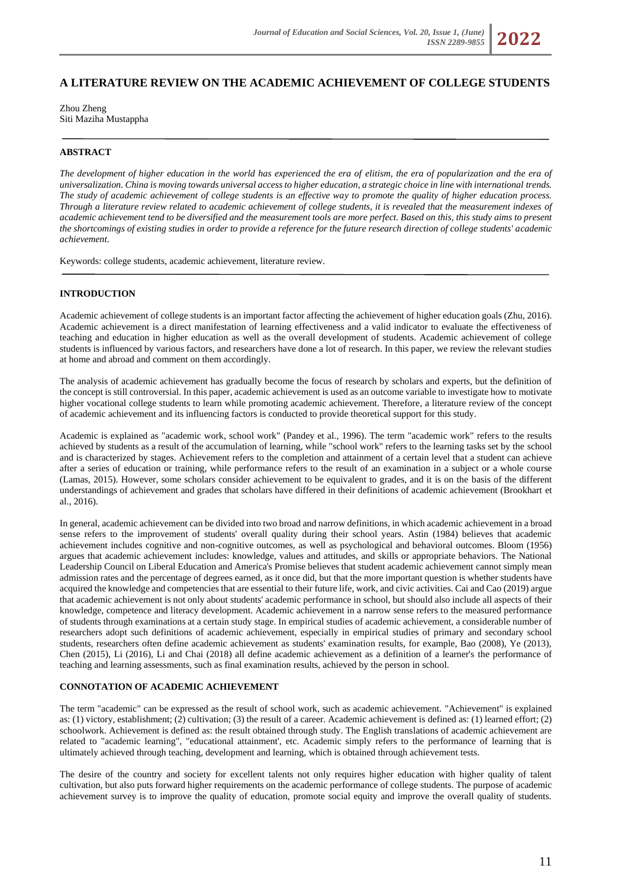# **A LITERATURE REVIEW ON THE ACADEMIC ACHIEVEMENT OF COLLEGE STUDENTS**

Zhou Zheng Siti Maziha Mustappha

# **ABSTRACT**

The development of higher education in the world has experienced the era of elitism, the era of popularization and the era of *universalization. China is moving towards universal access to higher education, a strategic choice in line with international trends. The study of academic achievement of college students is an effective way to promote the quality of higher education process. Through a literature review related to academic achievement of college students, it is revealed that the measurement indexes of academic achievement tend to be diversified and the measurement tools are more perfect. Based on this, this study aims to present the shortcomings of existing studies in order to provide a reference for the future research direction of college students' academic achievement.*

Keywords: college students, academic achievement, literature review.

# **INTRODUCTION**

Academic achievement of college students is an important factor affecting the achievement of higher education goals (Zhu, 2016). Academic achievement is a direct manifestation of learning effectiveness and a valid indicator to evaluate the effectiveness of teaching and education in higher education as well as the overall development of students. Academic achievement of college students is influenced by various factors, and researchers have done a lot of research. In this paper, we review the relevant studies at home and abroad and comment on them accordingly.

The analysis of academic achievement has gradually become the focus of research by scholars and experts, but the definition of the concept is still controversial. In this paper, academic achievement is used as an outcome variable to investigate how to motivate higher vocational college students to learn while promoting academic achievement. Therefore, a literature review of the concept of academic achievement and its influencing factors is conducted to provide theoretical support for this study.

Academic is explained as "academic work, school work" (Pandey et al., 1996). The term "academic work" refers to the results achieved by students as a result of the accumulation of learning, while "school work" refers to the learning tasks set by the school and is characterized by stages. Achievement refers to the completion and attainment of a certain level that a student can achieve after a series of education or training, while performance refers to the result of an examination in a subject or a whole course (Lamas, 2015). However, some scholars consider achievement to be equivalent to grades, and it is on the basis of the different understandings of achievement and grades that scholars have differed in their definitions of academic achievement (Brookhart et al., 2016).

In general, academic achievement can be divided into two broad and narrow definitions, in which academic achievement in a broad sense refers to the improvement of students' overall quality during their school years. Astin (1984) believes that academic achievement includes cognitive and non-cognitive outcomes, as well as psychological and behavioral outcomes. Bloom (1956) argues that academic achievement includes: knowledge, values and attitudes, and skills or appropriate behaviors. The National Leadership Council on Liberal Education and America's Promise believes that student academic achievement cannot simply mean admission rates and the percentage of degrees earned, as it once did, but that the more important question is whether students have acquired the knowledge and competencies that are essential to their future life, work, and civic activities. Cai and Cao (2019) argue that academic achievement is not only about students' academic performance in school, but should also include all aspects of their knowledge, competence and literacy development. Academic achievement in a narrow sense refers to the measured performance of students through examinations at a certain study stage. In empirical studies of academic achievement, a considerable number of researchers adopt such definitions of academic achievement, especially in empirical studies of primary and secondary school students, researchers often define academic achievement as students' examination results, for example, Bao (2008), Ye (2013), Chen (2015), Li (2016), Li and Chai (2018) all define academic achievement as a definition of a learner's the performance of teaching and learning assessments, such as final examination results, achieved by the person in school.

# **CONNOTATION OF ACADEMIC ACHIEVEMENT**

The term "academic" can be expressed as the result of school work, such as academic achievement. "Achievement" is explained as: (1) victory, establishment; (2) cultivation; (3) the result of a career. Academic achievement is defined as: (1) learned effort; (2) schoolwork. Achievement is defined as: the result obtained through study. The English translations of academic achievement are related to "academic learning", "educational attainment', etc. Academic simply refers to the performance of learning that is ultimately achieved through teaching, development and learning, which is obtained through achievement tests.

The desire of the country and society for excellent talents not only requires higher education with higher quality of talent cultivation, but also puts forward higher requirements on the academic performance of college students. The purpose of academic achievement survey is to improve the quality of education, promote social equity and improve the overall quality of students.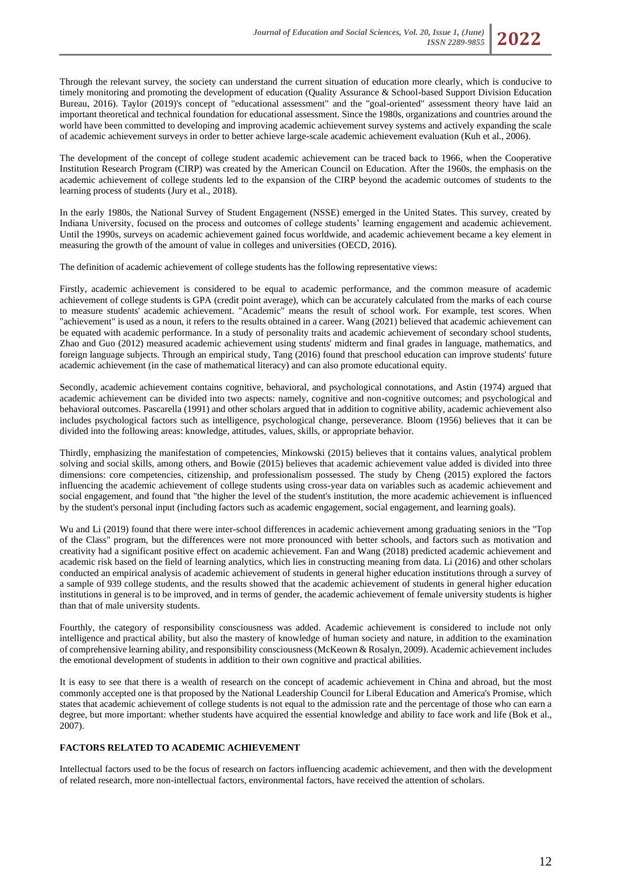Through the relevant survey, the society can understand the current situation of education more clearly, which is conducive to timely monitoring and promoting the development of education (Quality Assurance & School-based Support Division Education Bureau, 2016). Taylor (2019)'s concept of "educational assessment" and the "goal-oriented" assessment theory have laid an important theoretical and technical foundation for educational assessment. Since the 1980s, organizations and countries around the world have been committed to developing and improving academic achievement survey systems and actively expanding the scale of academic achievement surveys in order to better achieve large-scale academic achievement evaluation (Kuh et al., 2006).

The development of the concept of college student academic achievement can be traced back to 1966, when the Cooperative Institution Research Program (CIRP) was created by the American Council on Education. After the 1960s, the emphasis on the academic achievement of college students led to the expansion of the CIRP beyond the academic outcomes of students to the learning process of students (Jury et al., 2018).

In the early 1980s, the National Survey of Student Engagement (NSSE) emerged in the United States. This survey, created by Indiana University, focused on the process and outcomes of college students' learning engagement and academic achievement. Until the 1990s, surveys on academic achievement gained focus worldwide, and academic achievement became a key element in measuring the growth of the amount of value in colleges and universities (OECD, 2016).

The definition of academic achievement of college students has the following representative views:

Firstly, academic achievement is considered to be equal to academic performance, and the common measure of academic achievement of college students is GPA (credit point average), which can be accurately calculated from the marks of each course to measure students' academic achievement. "Academic" means the result of school work. For example, test scores. When "achievement" is used as a noun, it refers to the results obtained in a career. Wang (2021) believed that academic achievement can be equated with academic performance. In a study of personality traits and academic achievement of secondary school students, Zhao and Guo (2012) measured academic achievement using students' midterm and final grades in language, mathematics, and foreign language subjects. Through an empirical study, Tang (2016) found that preschool education can improve students' future academic achievement (in the case of mathematical literacy) and can also promote educational equity.

Secondly, academic achievement contains cognitive, behavioral, and psychological connotations, and Astin (1974) argued that academic achievement can be divided into two aspects: namely, cognitive and non-cognitive outcomes; and psychological and behavioral outcomes. Pascarella (1991) and other scholars argued that in addition to cognitive ability, academic achievement also includes psychological factors such as intelligence, psychological change, perseverance. Bloom (1956) believes that it can be divided into the following areas: knowledge, attitudes, values, skills, or appropriate behavior.

Thirdly, emphasizing the manifestation of competencies, Minkowski (2015) believes that it contains values, analytical problem solving and social skills, among others, and Bowie (2015) believes that academic achievement value added is divided into three dimensions: core competencies, citizenship, and professionalism possessed. The study by Cheng (2015) explored the factors influencing the academic achievement of college students using cross-year data on variables such as academic achievement and social engagement, and found that "the higher the level of the student's institution, the more academic achievement is influenced by the student's personal input (including factors such as academic engagement, social engagement, and learning goals).

Wu and Li (2019) found that there were inter-school differences in academic achievement among graduating seniors in the "Top of the Class" program, but the differences were not more pronounced with better schools, and factors such as motivation and creativity had a significant positive effect on academic achievement. Fan and Wang (2018) predicted academic achievement and academic risk based on the field of learning analytics, which lies in constructing meaning from data. Li (2016) and other scholars conducted an empirical analysis of academic achievement of students in general higher education institutions through a survey of a sample of 939 college students, and the results showed that the academic achievement of students in general higher education institutions in general is to be improved, and in terms of gender, the academic achievement of female university students is higher than that of male university students.

Fourthly, the category of responsibility consciousness was added. Academic achievement is considered to include not only intelligence and practical ability, but also the mastery of knowledge of human society and nature, in addition to the examination of comprehensive learning ability, and responsibility consciousness (McKeown & Rosalyn, 2009). Academic achievement includes the emotional development of students in addition to their own cognitive and practical abilities.

It is easy to see that there is a wealth of research on the concept of academic achievement in China and abroad, but the most commonly accepted one is that proposed by the National Leadership Council for Liberal Education and America's Promise, which states that academic achievement of college students is not equal to the admission rate and the percentage of those who can earn a degree, but more important: whether students have acquired the essential knowledge and ability to face work and life (Bok et al., 2007).

## **FACTORS RELATED TO ACADEMIC ACHIEVEMENT**

Intellectual factors used to be the focus of research on factors influencing academic achievement, and then with the development of related research, more non-intellectual factors, environmental factors, have received the attention of scholars.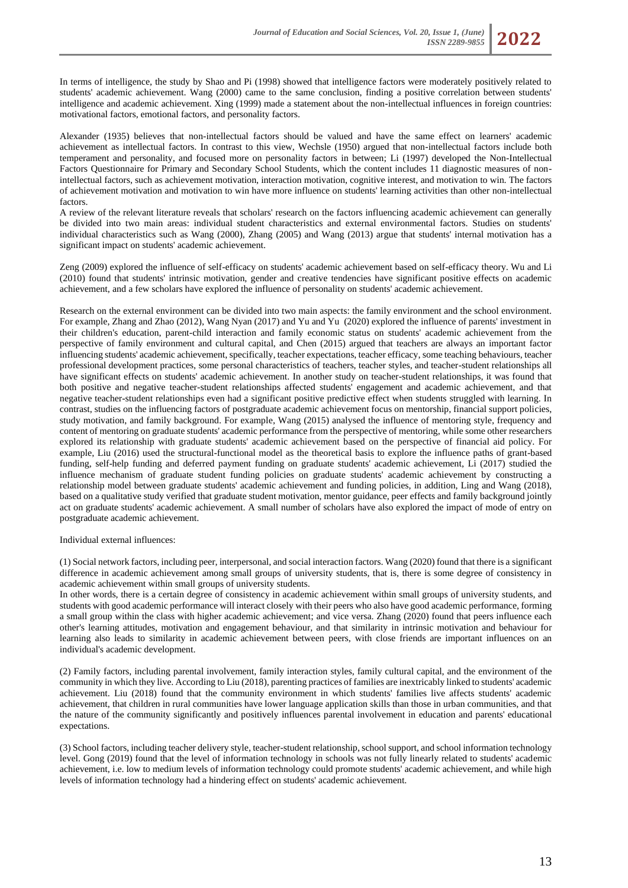

Alexander (1935) believes that non-intellectual factors should be valued and have the same effect on learners' academic achievement as intellectual factors. In contrast to this view, Wechsle (1950) argued that non-intellectual factors include both temperament and personality, and focused more on personality factors in between; Li (1997) developed the Non-Intellectual Factors Questionnaire for Primary and Secondary School Students, which the content includes 11 diagnostic measures of nonintellectual factors, such as achievement motivation, interaction motivation, cognitive interest, and motivation to win. The factors of achievement motivation and motivation to win have more influence on students' learning activities than other non-intellectual factors.

A review of the relevant literature reveals that scholars' research on the factors influencing academic achievement can generally be divided into two main areas: individual student characteristics and external environmental factors. Studies on students' individual characteristics such as Wang (2000), Zhang (2005) and Wang (2013) argue that students' internal motivation has a significant impact on students' academic achievement.

Zeng (2009) explored the influence of self-efficacy on students' academic achievement based on self-efficacy theory. Wu and Li (2010) found that students' intrinsic motivation, gender and creative tendencies have significant positive effects on academic achievement, and a few scholars have explored the influence of personality on students' academic achievement.

Research on the external environment can be divided into two main aspects: the family environment and the school environment. For example, Zhang and Zhao (2012), Wang Nyan (2017) and Yu and Yu (2020) explored the influence of parents' investment in their children's education, parent-child interaction and family economic status on students' academic achievement from the perspective of family environment and cultural capital, and Chen (2015) argued that teachers are always an important factor influencing students' academic achievement, specifically, teacher expectations, teacher efficacy, some teaching behaviours, teacher professional development practices, some personal characteristics of teachers, teacher styles, and teacher-student relationships all have significant effects on students' academic achievement. In another study on teacher-student relationships, it was found that both positive and negative teacher-student relationships affected students' engagement and academic achievement, and that negative teacher-student relationships even had a significant positive predictive effect when students struggled with learning. In contrast, studies on the influencing factors of postgraduate academic achievement focus on mentorship, financial support policies, study motivation, and family background. For example, Wang (2015) analysed the influence of mentoring style, frequency and content of mentoring on graduate students' academic performance from the perspective of mentoring, while some other researchers explored its relationship with graduate students' academic achievement based on the perspective of financial aid policy. For example, Liu (2016) used the structural-functional model as the theoretical basis to explore the influence paths of grant-based funding, self-help funding and deferred payment funding on graduate students' academic achievement, Li (2017) studied the influence mechanism of graduate student funding policies on graduate students' academic achievement by constructing a relationship model between graduate students' academic achievement and funding policies, in addition, Ling and Wang (2018), based on a qualitative study verified that graduate student motivation, mentor guidance, peer effects and family background jointly act on graduate students' academic achievement. A small number of scholars have also explored the impact of mode of entry on postgraduate academic achievement.

## Individual external influences:

(1) Social network factors, including peer, interpersonal, and social interaction factors. Wang (2020) found that there is a significant difference in academic achievement among small groups of university students, that is, there is some degree of consistency in academic achievement within small groups of university students.

In other words, there is a certain degree of consistency in academic achievement within small groups of university students, and students with good academic performance will interact closely with their peers who also have good academic performance, forming a small group within the class with higher academic achievement; and vice versa. Zhang (2020) found that peers influence each other's learning attitudes, motivation and engagement behaviour, and that similarity in intrinsic motivation and behaviour for learning also leads to similarity in academic achievement between peers, with close friends are important influences on an individual's academic development.

(2) Family factors, including parental involvement, family interaction styles, family cultural capital, and the environment of the community in which they live. According to Liu (2018), parenting practices of families are inextricably linked to students' academic achievement. Liu (2018) found that the community environment in which students' families live affects students' academic achievement, that children in rural communities have lower language application skills than those in urban communities, and that the nature of the community significantly and positively influences parental involvement in education and parents' educational expectations.

(3) School factors, including teacher delivery style, teacher-student relationship, school support, and school information technology level. Gong (2019) found that the level of information technology in schools was not fully linearly related to students' academic achievement, i.e. low to medium levels of information technology could promote students' academic achievement, and while high levels of information technology had a hindering effect on students' academic achievement.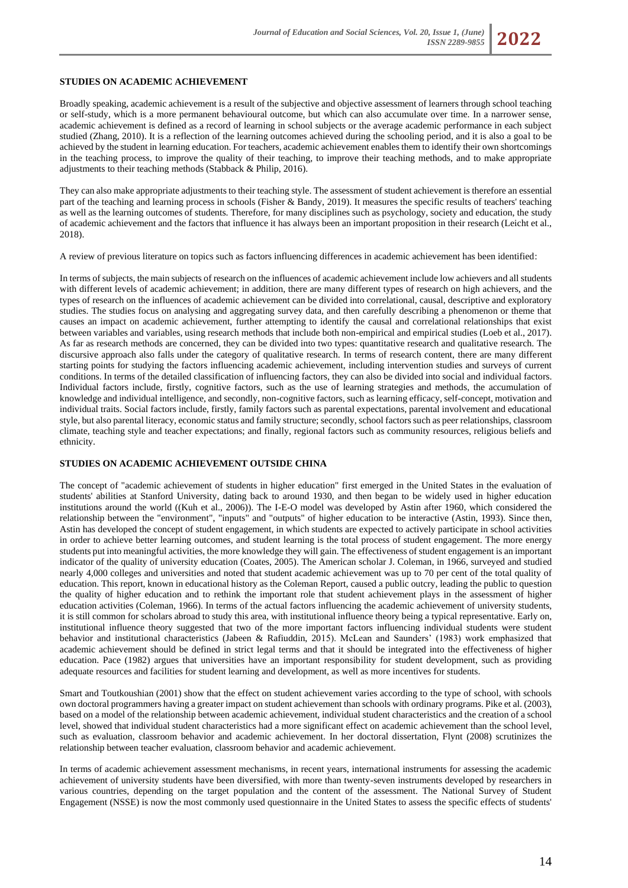## **STUDIES ON ACADEMIC ACHIEVEMENT**

Broadly speaking, academic achievement is a result of the subjective and objective assessment of learners through school teaching or self-study, which is a more permanent behavioural outcome, but which can also accumulate over time. In a narrower sense, academic achievement is defined as a record of learning in school subjects or the average academic performance in each subject studied (Zhang, 2010). It is a reflection of the learning outcomes achieved during the schooling period, and it is also a goal to be achieved by the student in learning education. For teachers, academic achievement enables them to identify their own shortcomings in the teaching process, to improve the quality of their teaching, to improve their teaching methods, and to make appropriate adjustments to their teaching methods (Stabback & Philip, 2016).

They can also make appropriate adjustments to their teaching style. The assessment of student achievement is therefore an essential part of the teaching and learning process in schools (Fisher & Bandy, 2019). It measures the specific results of teachers' teaching as well as the learning outcomes of students. Therefore, for many disciplines such as psychology, society and education, the study of academic achievement and the factors that influence it has always been an important proposition in their research (Leicht et al., 2018).

A review of previous literature on topics such as factors influencing differences in academic achievement has been identified:

In terms of subjects, the main subjects of research on the influences of academic achievement include low achievers and all students with different levels of academic achievement; in addition, there are many different types of research on high achievers, and the types of research on the influences of academic achievement can be divided into correlational, causal, descriptive and exploratory studies. The studies focus on analysing and aggregating survey data, and then carefully describing a phenomenon or theme that causes an impact on academic achievement, further attempting to identify the causal and correlational relationships that exist between variables and variables, using research methods that include both non-empirical and empirical studies (Loeb et al., 2017). As far as research methods are concerned, they can be divided into two types: quantitative research and qualitative research. The discursive approach also falls under the category of qualitative research. In terms of research content, there are many different starting points for studying the factors influencing academic achievement, including intervention studies and surveys of current conditions. In terms of the detailed classification of influencing factors, they can also be divided into social and individual factors. Individual factors include, firstly, cognitive factors, such as the use of learning strategies and methods, the accumulation of knowledge and individual intelligence, and secondly, non-cognitive factors, such as learning efficacy, self-concept, motivation and individual traits. Social factors include, firstly, family factors such as parental expectations, parental involvement and educational style, but also parental literacy, economic status and family structure; secondly, school factors such as peer relationships, classroom climate, teaching style and teacher expectations; and finally, regional factors such as community resources, religious beliefs and ethnicity.

#### **STUDIES ON ACADEMIC ACHIEVEMENT OUTSIDE CHINA**

The concept of "academic achievement of students in higher education" first emerged in the United States in the evaluation of students' abilities at Stanford University, dating back to around 1930, and then began to be widely used in higher education institutions around the world ((Kuh et al., 2006)). The I-E-O model was developed by Astin after 1960, which considered the relationship between the "environment", "inputs" and "outputs" of higher education to be interactive (Astin, 1993). Since then, Astin has developed the concept of student engagement, in which students are expected to actively participate in school activities in order to achieve better learning outcomes, and student learning is the total process of student engagement. The more energy students put into meaningful activities, the more knowledge they will gain. The effectiveness of student engagement is an important indicator of the quality of university education (Coates, 2005). The American scholar J. Coleman, in 1966, surveyed and studied nearly 4,000 colleges and universities and noted that student academic achievement was up to 70 per cent of the total quality of education. This report, known in educational history as the Coleman Report, caused a public outcry, leading the public to question the quality of higher education and to rethink the important role that student achievement plays in the assessment of higher education activities (Coleman, 1966). In terms of the actual factors influencing the academic achievement of university students, it is still common for scholars abroad to study this area, with institutional influence theory being a typical representative. Early on, institutional influence theory suggested that two of the more important factors influencing individual students were student behavior and institutional characteristics (Jabeen & Rafiuddin, 2015). McLean and Saunders' (1983) work emphasized that academic achievement should be defined in strict legal terms and that it should be integrated into the effectiveness of higher education. Pace (1982) argues that universities have an important responsibility for student development, such as providing adequate resources and facilities for student learning and development, as well as more incentives for students.

Smart and Toutkoushian (2001) show that the effect on student achievement varies according to the type of school, with schools own doctoral programmers having a greater impact on student achievement than schools with ordinary programs. Pike et al. (2003), based on a model of the relationship between academic achievement, individual student characteristics and the creation of a school level, showed that individual student characteristics had a more significant effect on academic achievement than the school level, such as evaluation, classroom behavior and academic achievement. In her doctoral dissertation, Flynt (2008) scrutinizes the relationship between teacher evaluation, classroom behavior and academic achievement.

In terms of academic achievement assessment mechanisms, in recent years, international instruments for assessing the academic achievement of university students have been diversified, with more than twenty-seven instruments developed by researchers in various countries, depending on the target population and the content of the assessment. The National Survey of Student Engagement (NSSE) is now the most commonly used questionnaire in the United States to assess the specific effects of students'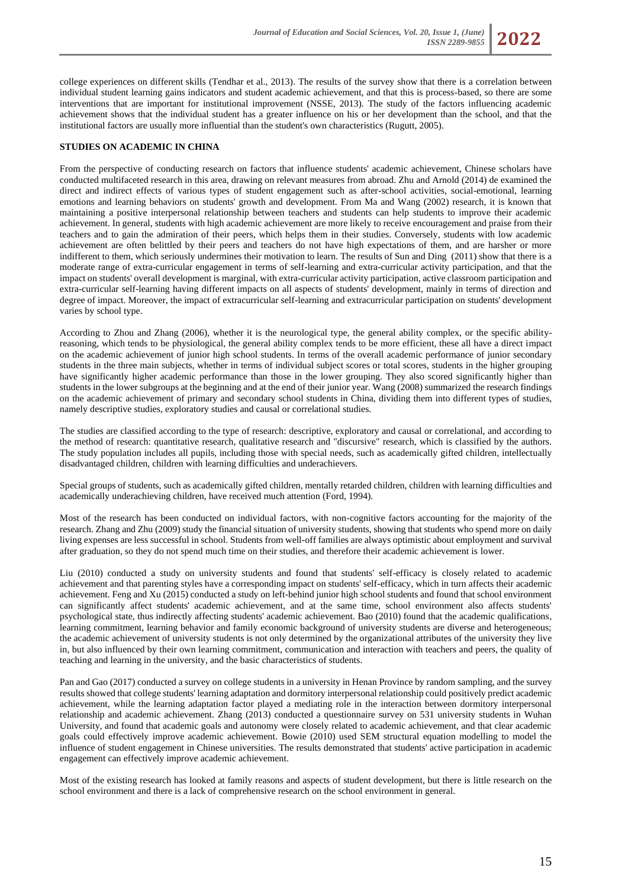

# **STUDIES ON ACADEMIC IN CHINA**

From the perspective of conducting research on factors that influence students' academic achievement, Chinese scholars have conducted multifaceted research in this area, drawing on relevant measures from abroad. Zhu and Arnold (2014) de examined the direct and indirect effects of various types of student engagement such as after-school activities, social-emotional, learning emotions and learning behaviors on students' growth and development. From Ma and Wang (2002) research, it is known that maintaining a positive interpersonal relationship between teachers and students can help students to improve their academic achievement. In general, students with high academic achievement are more likely to receive encouragement and praise from their teachers and to gain the admiration of their peers, which helps them in their studies. Conversely, students with low academic achievement are often belittled by their peers and teachers do not have high expectations of them, and are harsher or more indifferent to them, which seriously undermines their motivation to learn. The results of Sun and Ding (2011) show that there is a moderate range of extra-curricular engagement in terms of self-learning and extra-curricular activity participation, and that the impact on students' overall development is marginal, with extra-curricular activity participation, active classroom participation and extra-curricular self-learning having different impacts on all aspects of students' development, mainly in terms of direction and degree of impact. Moreover, the impact of extracurricular self-learning and extracurricular participation on students' development varies by school type.

According to Zhou and Zhang (2006), whether it is the neurological type, the general ability complex, or the specific abilityreasoning, which tends to be physiological, the general ability complex tends to be more efficient, these all have a direct impact on the academic achievement of junior high school students. In terms of the overall academic performance of junior secondary students in the three main subjects, whether in terms of individual subject scores or total scores, students in the higher grouping have significantly higher academic performance than those in the lower grouping. They also scored significantly higher than students in the lower subgroups at the beginning and at the end of their junior year. Wang (2008) summarized the research findings on the academic achievement of primary and secondary school students in China, dividing them into different types of studies, namely descriptive studies, exploratory studies and causal or correlational studies.

The studies are classified according to the type of research: descriptive, exploratory and causal or correlational, and according to the method of research: quantitative research, qualitative research and "discursive" research, which is classified by the authors. The study population includes all pupils, including those with special needs, such as academically gifted children, intellectually disadvantaged children, children with learning difficulties and underachievers.

Special groups of students, such as academically gifted children, mentally retarded children, children with learning difficulties and academically underachieving children, have received much attention (Ford, 1994).

Most of the research has been conducted on individual factors, with non-cognitive factors accounting for the majority of the research. Zhang and Zhu (2009) study the financial situation of university students, showing that students who spend more on daily living expenses are less successful in school. Students from well-off families are always optimistic about employment and survival after graduation, so they do not spend much time on their studies, and therefore their academic achievement is lower.

Liu (2010) conducted a study on university students and found that students' self-efficacy is closely related to academic achievement and that parenting styles have a corresponding impact on students' self-efficacy, which in turn affects their academic achievement. Feng and Xu (2015) conducted a study on left-behind junior high school students and found that school environment can significantly affect students' academic achievement, and at the same time, school environment also affects students' psychological state, thus indirectly affecting students' academic achievement. Bao (2010) found that the academic qualifications, learning commitment, learning behavior and family economic background of university students are diverse and heterogeneous; the academic achievement of university students is not only determined by the organizational attributes of the university they live in, but also influenced by their own learning commitment, communication and interaction with teachers and peers, the quality of teaching and learning in the university, and the basic characteristics of students.

Pan and Gao (2017) conducted a survey on college students in a university in Henan Province by random sampling, and the survey results showed that college students' learning adaptation and dormitory interpersonal relationship could positively predict academic achievement, while the learning adaptation factor played a mediating role in the interaction between dormitory interpersonal relationship and academic achievement. Zhang (2013) conducted a questionnaire survey on 531 university students in Wuhan University, and found that academic goals and autonomy were closely related to academic achievement, and that clear academic goals could effectively improve academic achievement. Bowie (2010) used SEM structural equation modelling to model the influence of student engagement in Chinese universities. The results demonstrated that students' active participation in academic engagement can effectively improve academic achievement.

Most of the existing research has looked at family reasons and aspects of student development, but there is little research on the school environment and there is a lack of comprehensive research on the school environment in general.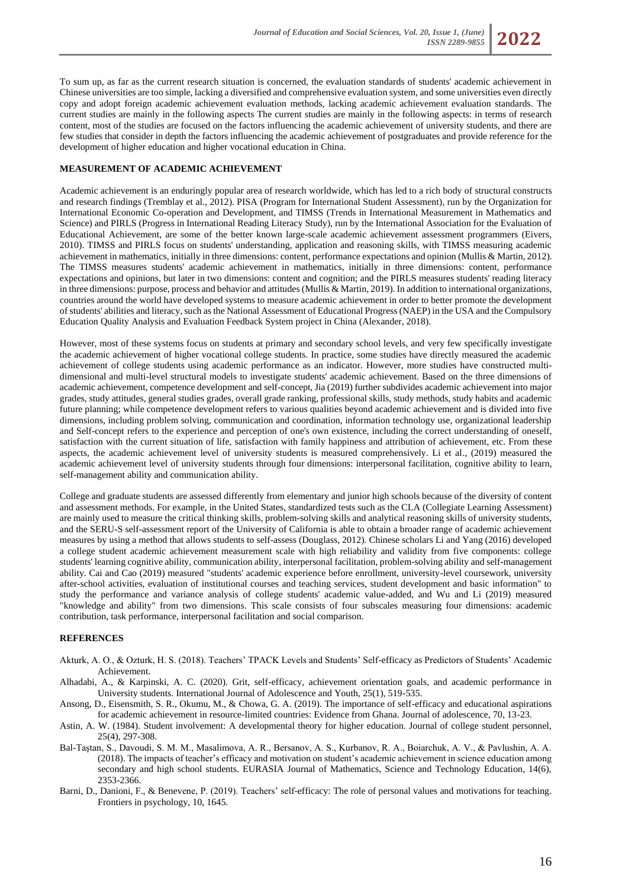

#### **MEASUREMENT OF ACADEMIC ACHIEVEMENT**

Academic achievement is an enduringly popular area of research worldwide, which has led to a rich body of structural constructs and research findings (Tremblay et al., 2012). PISA (Program for International Student Assessment), run by the Organization for International Economic Co-operation and Development, and TIMSS (Trends in International Measurement in Mathematics and Science) and PIRLS (Progress in International Reading Literacy Study), run by the International Association for the Evaluation of Educational Achievement, are some of the better known large-scale academic achievement assessment programmers (Eivers, 2010). TIMSS and PIRLS focus on students' understanding, application and reasoning skills, with TIMSS measuring academic achievement in mathematics, initially in three dimensions: content, performance expectations and opinion (Mullis & Martin, 2012). The TIMSS measures students' academic achievement in mathematics, initially in three dimensions: content, performance expectations and opinions, but later in two dimensions: content and cognition; and the PIRLS measures students' reading literacy in three dimensions: purpose, process and behavior and attitudes (Mullis & Martin, 2019). In addition to international organizations, countries around the world have developed systems to measure academic achievement in order to better promote the development of students' abilities and literacy, such as the National Assessment of Educational Progress (NAEP) in the USA and the Compulsory Education Quality Analysis and Evaluation Feedback System project in China (Alexander, 2018).

However, most of these systems focus on students at primary and secondary school levels, and very few specifically investigate the academic achievement of higher vocational college students. In practice, some studies have directly measured the academic achievement of college students using academic performance as an indicator. However, more studies have constructed multidimensional and multi-level structural models to investigate students' academic achievement. Based on the three dimensions of academic achievement, competence development and self-concept, Jia (2019) further subdivides academic achievement into major grades, study attitudes, general studies grades, overall grade ranking, professional skills, study methods, study habits and academic future planning; while competence development refers to various qualities beyond academic achievement and is divided into five dimensions, including problem solving, communication and coordination, information technology use, organizational leadership and Self-concept refers to the experience and perception of one's own existence, including the correct understanding of oneself, satisfaction with the current situation of life, satisfaction with family happiness and attribution of achievement, etc. From these aspects, the academic achievement level of university students is measured comprehensively. Li et al., (2019) measured the academic achievement level of university students through four dimensions: interpersonal facilitation, cognitive ability to learn, self-management ability and communication ability.

College and graduate students are assessed differently from elementary and junior high schools because of the diversity of content and assessment methods. For example, in the United States, standardized tests such as the CLA (Collegiate Learning Assessment) are mainly used to measure the critical thinking skills, problem-solving skills and analytical reasoning skills of university students, and the SERU-S self-assessment report of the University of California is able to obtain a broader range of academic achievement measures by using a method that allows students to self-assess (Douglass, 2012). Chinese scholars Li and Yang (2016) developed a college student academic achievement measurement scale with high reliability and validity from five components: college students' learning cognitive ability, communication ability, interpersonal facilitation, problem-solving ability and self-management ability. Cai and Cao (2019) measured "students' academic experience before enrollment, university-level coursework, university after-school activities, evaluation of institutional courses and teaching services, student development and basic information" to study the performance and variance analysis of college students' academic value-added, and Wu and Li (2019) measured "knowledge and ability" from two dimensions. This scale consists of four subscales measuring four dimensions: academic contribution, task performance, interpersonal facilitation and social comparison.

## **REFERENCES**

- Akturk, A. O., & Ozturk, H. S. (2018). Teachers' TPACK Levels and Students' Self-efficacy as Predictors of Students' Academic Achievement.
- Alhadabi, A., & Karpinski, A. C. (2020). Grit, self-efficacy, achievement orientation goals, and academic performance in University students. International Journal of Adolescence and Youth, 25(1), 519-535.
- Ansong, D., Eisensmith, S. R., Okumu, M., & Chowa, G. A. (2019). The importance of self-efficacy and educational aspirations for academic achievement in resource-limited countries: Evidence from Ghana. Journal of adolescence, 70, 13-23.
- Astin, A. W. (1984). Student involvement: A developmental theory for higher education. Journal of college student personnel, 25(4), 297-308.
- Bal-Taştan, S., Davoudi, S. M. M., Masalimova, A. R., Bersanov, A. S., Kurbanov, R. A., Boiarchuk, A. V., & Pavlushin, A. A. (2018). The impacts of teacher's efficacy and motivation on student's academic achievement in science education among secondary and high school students. EURASIA Journal of Mathematics, Science and Technology Education, 14(6), 2353-2366.
- Barni, D., Danioni, F., & Benevene, P. (2019). Teachers' self-efficacy: The role of personal values and motivations for teaching. Frontiers in psychology, 10, 1645.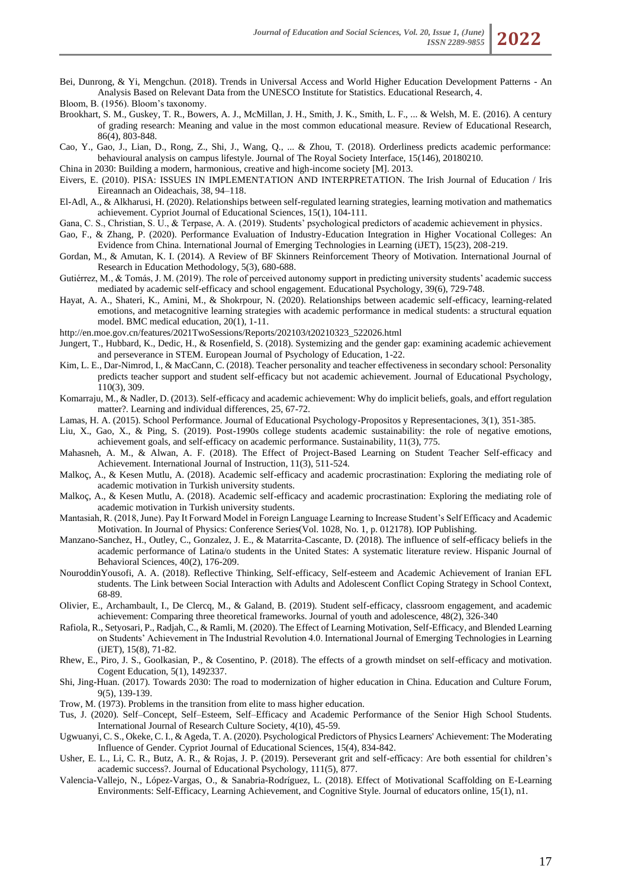Bei, Dunrong, & Yi, Mengchun. (2018). Trends in Universal Access and World Higher Education Development Patterns - An Analysis Based on Relevant Data from the UNESCO Institute for Statistics. Educational Research, 4.

- Brookhart, S. M., Guskey, T. R., Bowers, A. J., McMillan, J. H., Smith, J. K., Smith, L. F., ... & Welsh, M. E. (2016). A century of grading research: Meaning and value in the most common educational measure. Review of Educational Research, 86(4), 803-848.
- Cao, Y., Gao, J., Lian, D., Rong, Z., Shi, J., Wang, Q., ... & Zhou, T. (2018). Orderliness predicts academic performance: behavioural analysis on campus lifestyle. Journal of The Royal Society Interface, 15(146), 20180210.

China in 2030: Building a modern, harmonious, creative and high-income society [M]. 2013.

- Eivers, E. (2010). PISA: ISSUES IN IMPLEMENTATION AND INTERPRETATION. The Irish Journal of Education / Iris Eireannach an Oideachais, 38, 94–118.
- El-Adl, A., & Alkharusi, H. (2020). Relationships between self-regulated learning strategies, learning motivation and mathematics achievement. Cypriot Journal of Educational Sciences, 15(1), 104-111.
- Gana, C. S., Christian, S. U., & Terpase, A. A. (2019). Students' psychological predictors of academic achievement in physics.
- Gao, F., & Zhang, P. (2020). Performance Evaluation of Industry-Education Integration in Higher Vocational Colleges: An Evidence from China. International Journal of Emerging Technologies in Learning (iJET), 15(23), 208-219.
- Gordan, M., & Amutan, K. I. (2014). A Review of BF Skinners Reinforcement Theory of Motivation. International Journal of Research in Education Methodology, 5(3), 680-688.
- Gutiérrez, M., & Tomás, J. M. (2019). The role of perceived autonomy support in predicting university students' academic success mediated by academic self-efficacy and school engagement. Educational Psychology, 39(6), 729-748.
- Hayat, A. A., Shateri, K., Amini, M., & Shokrpour, N. (2020). Relationships between academic self-efficacy, learning-related emotions, and metacognitive learning strategies with academic performance in medical students: a structural equation model. BMC medical education, 20(1), 1-11.
- http://en.moe.gov.cn/features/2021TwoSessions/Reports/202103/t20210323\_522026.html
- Jungert, T., Hubbard, K., Dedic, H., & Rosenfield, S. (2018). Systemizing and the gender gap: examining academic achievement and perseverance in STEM. European Journal of Psychology of Education, 1-22.
- Kim, L. E., Dar-Nimrod, I., & MacCann, C. (2018). Teacher personality and teacher effectiveness in secondary school: Personality predicts teacher support and student self-efficacy but not academic achievement. Journal of Educational Psychology, 110(3), 309.
- Komarraju, M., & Nadler, D. (2013). Self-efficacy and academic achievement: Why do implicit beliefs, goals, and effort regulation matter?. Learning and individual differences, 25, 67-72.
- Lamas, H. A. (2015). School Performance. Journal of Educational Psychology-Propositos y Representaciones, 3(1), 351-385.
- Liu, X., Gao, X., & Ping, S. (2019). Post-1990s college students academic sustainability: the role of negative emotions, achievement goals, and self-efficacy on academic performance. Sustainability, 11(3), 775.
- Mahasneh, A. M., & Alwan, A. F. (2018). The Effect of Project-Based Learning on Student Teacher Self-efficacy and Achievement. International Journal of Instruction, 11(3), 511-524.
- Malkoç, A., & Kesen Mutlu, A. (2018). Academic self-efficacy and academic procrastination: Exploring the mediating role of academic motivation in Turkish university students.
- Malkoç, A., & Kesen Mutlu, A. (2018). Academic self-efficacy and academic procrastination: Exploring the mediating role of academic motivation in Turkish university students.
- Mantasiah, R. (2018, June). Pay It Forward Model in Foreign Language Learning to Increase Student's Self Efficacy and Academic Motivation. In Journal of Physics: Conference Series(Vol. 1028, No. 1, p. 012178). IOP Publishing.
- Manzano-Sanchez, H., Outley, C., Gonzalez, J. E., & Matarrita-Cascante, D. (2018). The influence of self-efficacy beliefs in the academic performance of Latina/o students in the United States: A systematic literature review. Hispanic Journal of Behavioral Sciences, 40(2), 176-209.
- NouroddinYousofi, A. A. (2018). Reflective Thinking, Self-efficacy, Self-esteem and Academic Achievement of Iranian EFL students. The Link between Social Interaction with Adults and Adolescent Conflict Coping Strategy in School Context, 68-89.
- Olivier, E., Archambault, I., De Clercq, M., & Galand, B. (2019). Student self-efficacy, classroom engagement, and academic achievement: Comparing three theoretical frameworks. Journal of youth and adolescence, 48(2), 326-340
- Rafiola, R., Setyosari, P., Radjah, C., & Ramli, M. (2020). The Effect of Learning Motivation, Self-Efficacy, and Blended Learning on Students' Achievement in The Industrial Revolution 4.0. International Journal of Emerging Technologies in Learning (iJET), 15(8), 71-82.
- Rhew, E., Piro, J. S., Goolkasian, P., & Cosentino, P. (2018). The effects of a growth mindset on self-efficacy and motivation. Cogent Education, 5(1), 1492337.
- Shi, Jing-Huan. (2017). Towards 2030: The road to modernization of higher education in China. Education and Culture Forum, 9(5), 139-139.
- Trow, M. (1973). Problems in the transition from elite to mass higher education.
- Tus, J. (2020). Self–Concept, Self–Esteem, Self–Efficacy and Academic Performance of the Senior High School Students. International Journal of Research Culture Society, 4(10), 45-59.
- Ugwuanyi, C. S., Okeke, C. I., & Ageda, T. A. (2020). Psychological Predictors of Physics Learners' Achievement: The Moderating Influence of Gender. Cypriot Journal of Educational Sciences, 15(4), 834-842.
- Usher, E. L., Li, C. R., Butz, A. R., & Rojas, J. P. (2019). Perseverant grit and self-efficacy: Are both essential for children's academic success?. Journal of Educational Psychology, 111(5), 877.
- Valencia-Vallejo, N., López-Vargas, O., & Sanabria-Rodríguez, L. (2018). Effect of Motivational Scaffolding on E-Learning Environments: Self-Efficacy, Learning Achievement, and Cognitive Style. Journal of educators online, 15(1), n1.

Bloom, B. (1956). Bloom's taxonomy.